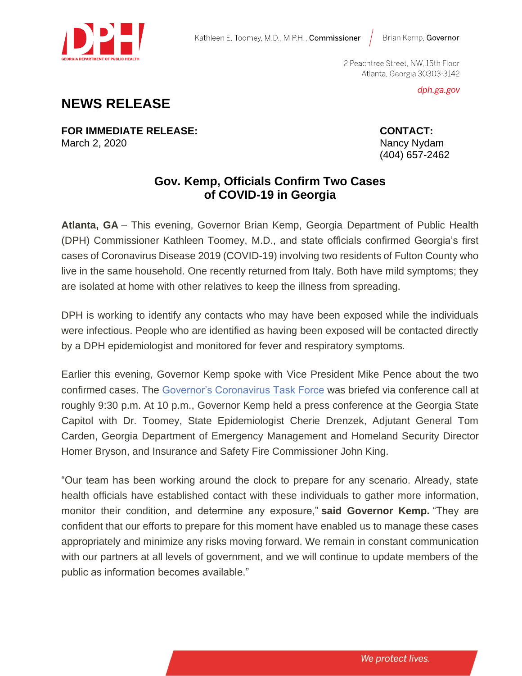

Brian Kemp, Governor

2 Peachtree Street, NW, 15th Floor Atlanta, Georgia 30303-3142

dph.ga.gov

## **NEWS RELEASE**

**FOR IMMEDIATE RELEASE: CONTACT:** March 2, 2020 **Nancy Nydam** Nancy Nydam Nancy Nydam Nancy Nydam Nancy Nydam Nancy Nydam Nancy Nydam Nancy Nydam

(404) 657-2462

## **Gov. Kemp, Officials Confirm Two Cases of COVID-19 in Georgia**

**Atlanta, GA** – This evening, Governor Brian Kemp, Georgia Department of Public Health (DPH) Commissioner Kathleen Toomey, M.D., and state officials confirmed Georgia's first cases of Coronavirus Disease 2019 (COVID-19) involving two residents of Fulton County who live in the same household. One recently returned from Italy. Both have mild symptoms; they are isolated at home with other relatives to keep the illness from spreading.

DPH is working to identify any contacts who may have been exposed while the individuals were infectious. People who are identified as having been exposed will be contacted directly by a DPH epidemiologist and monitored for fever and respiratory symptoms.

Earlier this evening, Governor Kemp spoke with Vice President Mike Pence about the two confirmed cases. The [Governor's Coronavirus Task Force](https://gov.georgia.gov/press-releases/2020-03-02/gov-kemp-names-coronavirus-task-force) was briefed via conference call at roughly 9:30 p.m. At 10 p.m., Governor Kemp held a press conference at the Georgia State Capitol with Dr. Toomey, State Epidemiologist Cherie Drenzek, Adjutant General Tom Carden, Georgia Department of Emergency Management and Homeland Security Director Homer Bryson, and Insurance and Safety Fire Commissioner John King.

"Our team has been working around the clock to prepare for any scenario. Already, state health officials have established contact with these individuals to gather more information, monitor their condition, and determine any exposure," **said Governor Kemp.** "They are confident that our efforts to prepare for this moment have enabled us to manage these cases appropriately and minimize any risks moving forward. We remain in constant communication with our partners at all levels of government, and we will continue to update members of the public as information becomes available."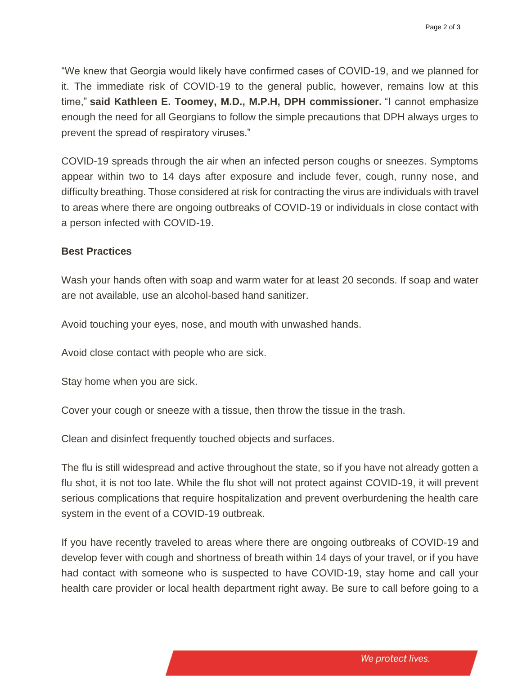"We knew that Georgia would likely have confirmed cases of COVID-19, and we planned for it. The immediate risk of COVID-19 to the general public, however, remains low at this time," **said Kathleen E. Toomey, M.D., M.P.H, DPH commissioner.** "I cannot emphasize enough the need for all Georgians to follow the simple precautions that DPH always urges to prevent the spread of respiratory viruses."

COVID-19 spreads through the air when an infected person coughs or sneezes. Symptoms appear within two to 14 days after exposure and include fever, cough, runny nose, and difficulty breathing. Those considered at risk for contracting the virus are individuals with travel to areas where there are ongoing outbreaks of COVID-19 or individuals in close contact with a person infected with COVID-19.

## **Best Practices**

Wash your hands often with soap and warm water for at least 20 seconds. If soap and water are not available, use an alcohol-based hand sanitizer.

Avoid touching your eyes, nose, and mouth with unwashed hands.

Avoid close contact with people who are sick.

Stay home when you are sick.

Cover your cough or sneeze with a tissue, then throw the tissue in the trash.

Clean and disinfect frequently touched objects and surfaces.

The flu is still widespread and active throughout the state, so if you have not already gotten a flu shot, it is not too late. While the flu shot will not protect against COVID-19, it will prevent serious complications that require hospitalization and prevent overburdening the health care system in the event of a COVID-19 outbreak.

If you have recently traveled to areas where there are ongoing outbreaks of COVID-19 and develop fever with cough and shortness of breath within 14 days of your travel, or if you have had contact with someone who is suspected to have COVID-19, stay home and call your health care provider or local health department right away. Be sure to call before going to a